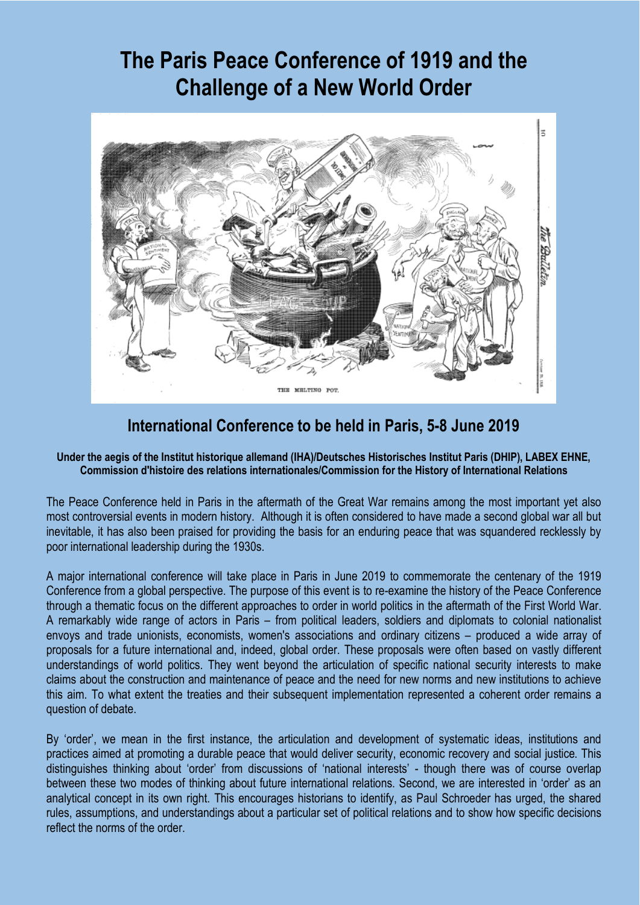# **The Paris Peace Conference of 1919 and the Challenge of a New World Order**



# **International Conference to be held in Paris, 5-8 June 2019**

#### **Under the aegis of the Institut historique allemand (IHA)/Deutsches Historisches Institut Paris (DHIP), LABEX EHNE, Commission d'histoire des relations internationales/Commission for the History of International Relations**

The Peace Conference held in Paris in the aftermath of the Great War remains among the most important yet also most controversial events in modern history. Although it is often considered to have made a second global war all but inevitable, it has also been praised for providing the basis for an enduring peace that was squandered recklessly by poor international leadership during the 1930s.

A major international conference will take place in Paris in June 2019 to commemorate the centenary of the 1919 Conference from a global perspective. The purpose of this event is to re-examine the history of the Peace Conference through a thematic focus on the different approaches to order in world politics in the aftermath of the First World War. A remarkably wide range of actors in Paris – from political leaders, soldiers and diplomats to colonial nationalist envoys and trade unionists, economists, women's associations and ordinary citizens – produced a wide array of proposals for a future international and, indeed, global order. These proposals were often based on vastly different understandings of world politics. They went beyond the articulation of specific national security interests to make claims about the construction and maintenance of peace and the need for new norms and new institutions to achieve this aim. To what extent the treaties and their subsequent implementation represented a coherent order remains a question of debate.

By 'order', we mean in the first instance, the articulation and development of systematic ideas, institutions and practices aimed at promoting a durable peace that would deliver security, economic recovery and social justice. This distinguishes thinking about 'order' from discussions of 'national interests' - though there was of course overlap between these two modes of thinking about future international relations. Second, we are interested in 'order' as an analytical concept in its own right. This encourages historians to identify, as Paul Schroeder has urged, the shared rules, assumptions, and understandings about a particular set of political relations and to show how specific decisions reflect the norms of the order.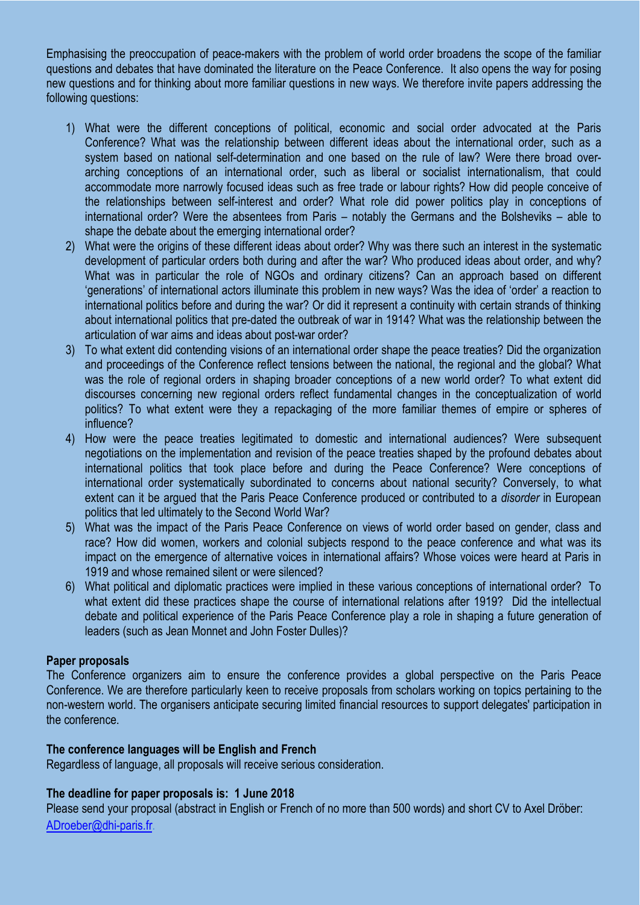Emphasising the preoccupation of peace-makers with the problem of world order broadens the scope of the familiar questions and debates that have dominated the literature on the Peace Conference. It also opens the way for posing new questions and for thinking about more familiar questions in new ways. We therefore invite papers addressing the following questions:

- 1) What were the different conceptions of political, economic and social order advocated at the Paris Conference? What was the relationship between different ideas about the international order, such as a system based on national self-determination and one based on the rule of law? Were there broad overarching conceptions of an international order, such as liberal or socialist internationalism, that could accommodate more narrowly focused ideas such as free trade or labour rights? How did people conceive of the relationships between self-interest and order? What role did power politics play in conceptions of international order? Were the absentees from Paris – notably the Germans and the Bolsheviks – able to shape the debate about the emerging international order?
- 2) What were the origins of these different ideas about order? Why was there such an interest in the systematic development of particular orders both during and after the war? Who produced ideas about order, and why? What was in particular the role of NGOs and ordinary citizens? Can an approach based on different 'generations' of international actors illuminate this problem in new ways? Was the idea of 'order' a reaction to international politics before and during the war? Or did it represent a continuity with certain strands of thinking about international politics that pre-dated the outbreak of war in 1914? What was the relationship between the articulation of war aims and ideas about post-war order?
- 3) To what extent did contending visions of an international order shape the peace treaties? Did the organization and proceedings of the Conference reflect tensions between the national, the regional and the global? What was the role of regional orders in shaping broader conceptions of a new world order? To what extent did discourses concerning new regional orders reflect fundamental changes in the conceptualization of world politics? To what extent were they a repackaging of the more familiar themes of empire or spheres of influence?
- 4) How were the peace treaties legitimated to domestic and international audiences? Were subsequent negotiations on the implementation and revision of the peace treaties shaped by the profound debates about international politics that took place before and during the Peace Conference? Were conceptions of international order systematically subordinated to concerns about national security? Conversely, to what extent can it be argued that the Paris Peace Conference produced or contributed to a *disorder* in European politics that led ultimately to the Second World War?
- 5) What was the impact of the Paris Peace Conference on views of world order based on gender, class and race? How did women, workers and colonial subjects respond to the peace conference and what was its impact on the emergence of alternative voices in international affairs? Whose voices were heard at Paris in 1919 and whose remained silent or were silenced?
- 6) What political and diplomatic practices were implied in these various conceptions of international order? To what extent did these practices shape the course of international relations after 1919? Did the intellectual debate and political experience of the Paris Peace Conference play a role in shaping a future generation of leaders (such as Jean Monnet and John Foster Dulles)?

#### **Paper proposals**

The Conference organizers aim to ensure the conference provides a global perspective on the Paris Peace Conference. We are therefore particularly keen to receive proposals from scholars working on topics pertaining to the non-western world. The organisers anticipate securing limited financial resources to support delegates' participation in the conference.

#### **The conference languages will be English and French**

Regardless of language, all proposals will receive serious consideration.

#### **The deadline for paper proposals is: 1 June 2018**

Please send your proposal (abstract in English or French of no more than 500 words) and short CV to Axel Dröber: [ADroeber@dhi-paris.fr.](mailto:ADroeber@dhi-paris.fr)